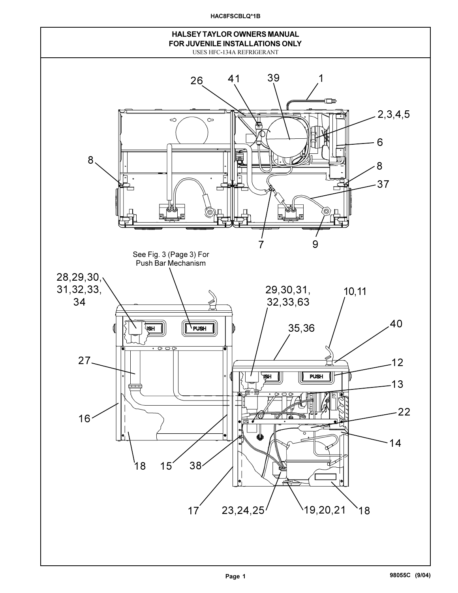**HAC8FSCBLQ\*1B**

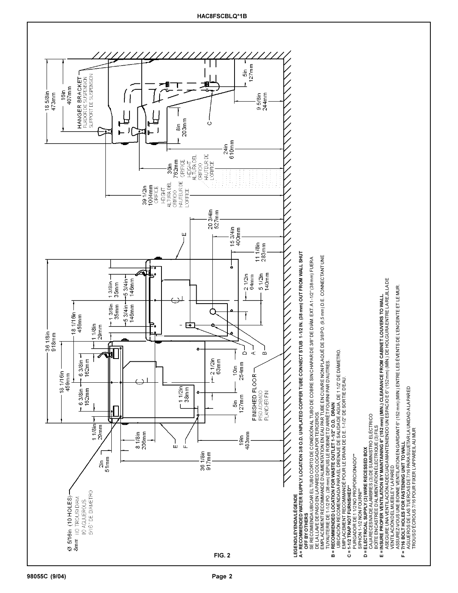

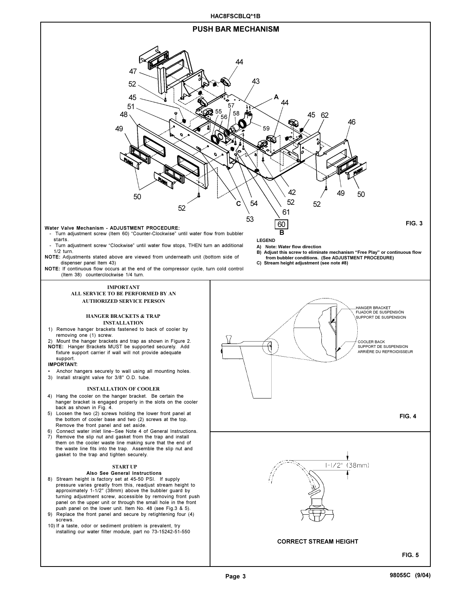



**98055C (9/04)**